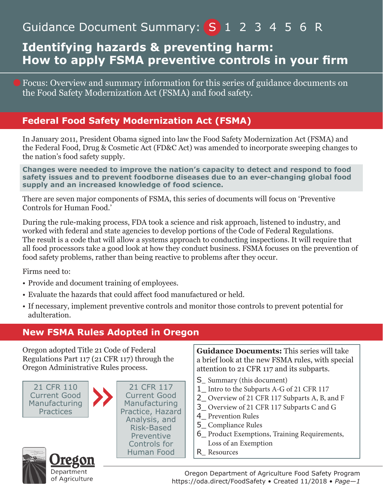# Guidance Document Summary: (S 1 2 3 4 5 6 R

## **Identifying hazards & preventing harm: How to apply FSMA preventive controls in your firm**

Focus: Overview and summary information for this series of guidance documents on the Food Safety Modernization Act (FSMA) and food safety.

## **Federal Food Safety Modernization Act (FSMA)**

In January 2011, President Obama signed into law the Food Safety Modernization Act (FSMA) and the Federal Food, Drug & Cosmetic Act (FD&C Act) was amended to incorporate sweeping changes to the nation's food safety supply.

**Changes were needed to improve the nation's capacity to detect and respond to food safety issues and to prevent foodborne diseases due to an ever-changing global food supply and an increased knowledge of food science.**

There are seven major components of FSMA, this series of documents will focus on 'Preventive Controls for Human Food.'

During the rule-making process, FDA took a science and risk approach, listened to industry, and worked with federal and state agencies to develop portions of the Code of Federal Regulations. The result is a code that will allow a systems approach to conducting inspections. It will require that all food processors take a good look at how they conduct business. FSMA focuses on the prevention of food safety problems, rather than being reactive to problems after they occur.

Firms need to:

- Provide and document training of employees.
- Evaluate the hazards that could affect food manufactured or held.
- If necessary, implement preventive controls and monitor those controls to prevent potential for adulteration.

## **New FSMA Rules Adopted in Oregon**

21 CFR 110 Current Good Manufacturing **Practices** 21 CFR 117 Current Good Manufacturing Practice, Hazard Analysis, and Risk-Based Preventive Controls for Human Food Oregon adopted Title 21 Code of Federal Regulations Part 117 (21 CFR 117) through the Oregon Administrative Rules process. **Guidance Documents:** This series will take a brief look at the new FSMA rules, with special attention to 21 CFR 117 and its subparts. S Summary (this document) 1 Intro to the Subparts A-G of 21 CFR 117 2\_ Overview of 21 CFR 117 Subparts A, B, and F 3\_ Overview of 21 CFR 117 Subparts C and G 4\_ Prevention Rules 5\_ Compliance Rules 6\_ Product Exemptions, Training Requirements, Loss of an Exemption R Resources



Oregon Department of Agriculture Food Safety Program https://oda.direct/FoodSafety • Created 11/2018 • *Page—1*